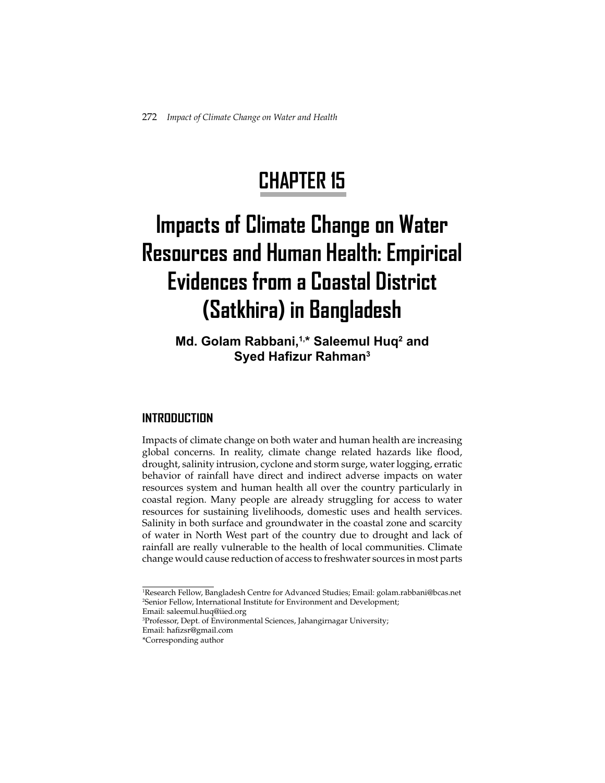# **CHAPTER 15**

# **Impacts of Climate Change on Water Resources and Human Health: Empirical Evidences from a Coastal District (Satkhira) in Bangladesh**

# Md. Golam Rabbani,<sup>1,\*</sup> Saleemul Huq<sup>2</sup> and **Syed Hafizur Rahman<sup>3</sup>**

# **INTRODUCTION**

Impacts of climate change on both water and human health are increasing global concerns. In reality, climate change related hazards like flood, drought, salinity intrusion, cyclone and storm surge, water logging, erratic behavior of rainfall have direct and indirect adverse impacts on water resources system and human health all over the country particularly in coastal region. Many people are already struggling for access to water resources for sustaining livelihoods, domestic uses and health services. Salinity in both surface and groundwater in the coastal zone and scarcity of water in North West part of the country due to drought and lack of rainfall are really vulnerable to the health of local communities. Climate change would cause reduction of access to freshwater sources in most parts

<sup>1</sup> Research Fellow, Bangladesh Centre for Advanced Studies; Email: golam.rabbani@bcas.net 2 Senior Fellow, International Institute for Environment and Development;

Email: saleemul.huq@iied.org

<sup>3</sup> Professor, Dept. of Environmental Sciences, Jahangirnagar University;

Email: hafizsr@gmail.com \*Corresponding author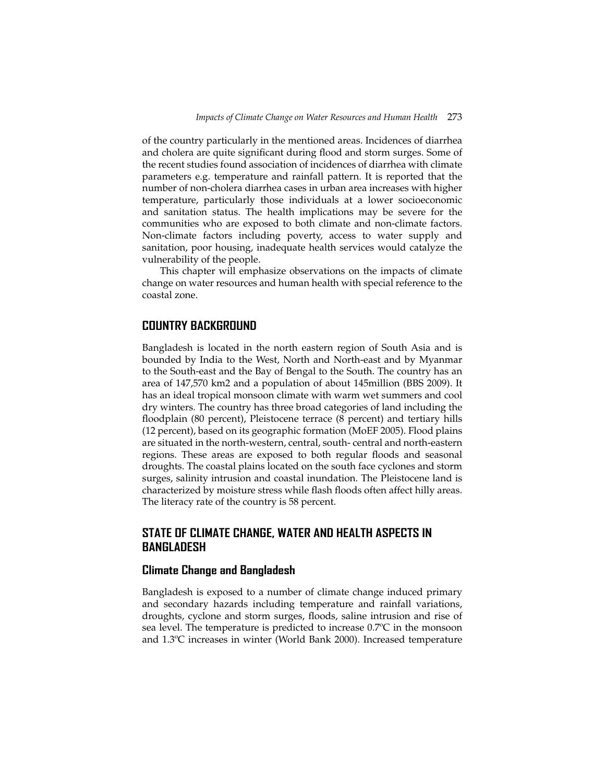of the country particularly in the mentioned areas. Incidences of diarrhea and cholera are quite significant during flood and storm surges. Some of the recent studies found association of incidences of diarrhea with climate parameters e.g. temperature and rainfall pattern. It is reported that the number of non-cholera diarrhea cases in urban area increases with higher temperature, particularly those individuals at a lower socioeconomic and sanitation status. The health implications may be severe for the communities who are exposed to both climate and non-climate factors. Non-climate factors including poverty, access to water supply and sanitation, poor housing, inadequate health services would catalyze the vulnerability of the people.

This chapter will emphasize observations on the impacts of climate change on water resources and human health with special reference to the coastal zone.

# **COUNTRY BACKGROUND**

Bangladesh is located in the north eastern region of South Asia and is bounded by India to the West, North and North-east and by Myanmar to the South-east and the Bay of Bengal to the South. The country has an area of 147,570 km2 and a population of about 145million (BBS 2009). It has an ideal tropical monsoon climate with warm wet summers and cool dry winters. The country has three broad categories of land including the floodplain (80 percent), Pleistocene terrace (8 percent) and tertiary hills (12 percent), based on its geographic formation (MoEF 2005). Flood plains are situated in the north-western, central, south- central and north-eastern regions. These areas are exposed to both regular floods and seasonal droughts. The coastal plains located on the south face cyclones and storm surges, salinity intrusion and coastal inundation. The Pleistocene land is characterized by moisture stress while flash floods often affect hilly areas. The literacy rate of the country is 58 percent.

# **STATE OF CLIMATE CHANGE, WATER AND HEALTH ASPECTS IN BANGLADESH**

## **Climate Change and Bangladesh**

Bangladesh is exposed to a number of climate change induced primary and secondary hazards including temperature and rainfall variations, droughts, cyclone and storm surges, floods, saline intrusion and rise of sea level. The temperature is predicted to increase 0.7ºC in the monsoon and 1.3ºC increases in winter (World Bank 2000). Increased temperature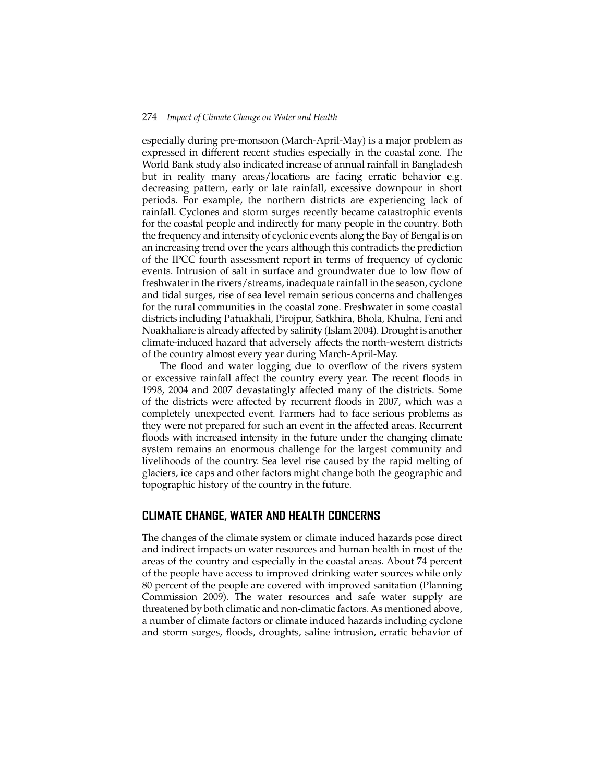especially during pre-monsoon (March-April-May) is a major problem as expressed in different recent studies especially in the coastal zone. The World Bank study also indicated increase of annual rainfall in Bangladesh but in reality many areas/locations are facing erratic behavior e.g. decreasing pattern, early or late rainfall, excessive downpour in short periods. For example, the northern districts are experiencing lack of rainfall. Cyclones and storm surges recently became catastrophic events for the coastal people and indirectly for many people in the country. Both the frequency and intensity of cyclonic events along the Bay of Bengal is on an increasing trend over the years although this contradicts the prediction of the IPCC fourth assessment report in terms of frequency of cyclonic events. Intrusion of salt in surface and groundwater due to low flow of freshwater in the rivers/streams, inadequate rainfall in the season, cyclone and tidal surges, rise of sea level remain serious concerns and challenges for the rural communities in the coastal zone. Freshwater in some coastal districts including Patuakhali, Pirojpur, Satkhira, Bhola, Khulna, Feni and Noakhaliare is already affected by salinity (Islam 2004). Drought is another climate-induced hazard that adversely affects the north-western districts of the country almost every year during March-April-May.

The flood and water logging due to overflow of the rivers system or excessive rainfall affect the country every year. The recent floods in 1998, 2004 and 2007 devastatingly affected many of the districts. Some of the districts were affected by recurrent floods in 2007, which was a completely unexpected event. Farmers had to face serious problems as they were not prepared for such an event in the affected areas. Recurrent floods with increased intensity in the future under the changing climate system remains an enormous challenge for the largest community and livelihoods of the country. Sea level rise caused by the rapid melting of glaciers, ice caps and other factors might change both the geographic and topographic history of the country in the future.

# **CLIMATE CHANGE, WATER AND HEALTH CONCERNS**

The changes of the climate system or climate induced hazards pose direct and indirect impacts on water resources and human health in most of the areas of the country and especially in the coastal areas. About 74 percent of the people have access to improved drinking water sources while only 80 percent of the people are covered with improved sanitation (Planning Commission 2009). The water resources and safe water supply are threatened by both climatic and non-climatic factors. As mentioned above, a number of climate factors or climate induced hazards including cyclone and storm surges, floods, droughts, saline intrusion, erratic behavior of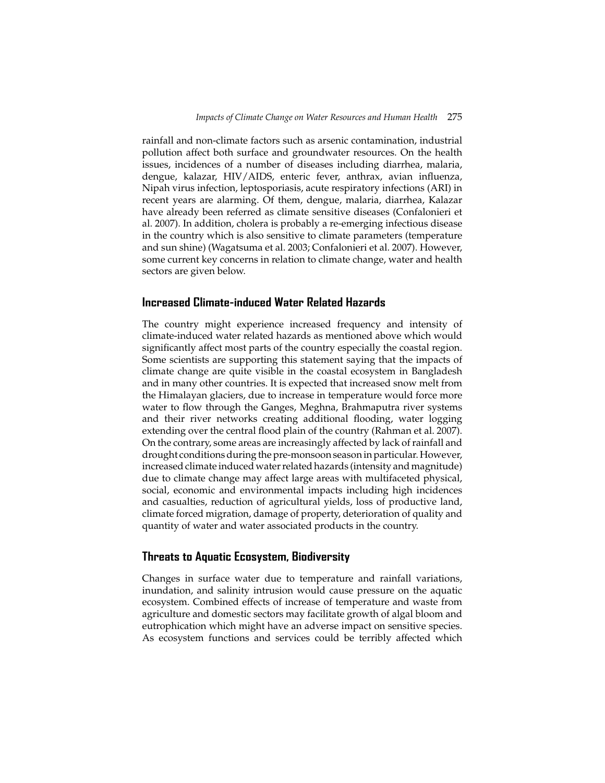rainfall and non-climate factors such as arsenic contamination, industrial pollution affect both surface and groundwater resources. On the health issues, incidences of a number of diseases including diarrhea, malaria, dengue, kalazar, HIV/AIDS, enteric fever, anthrax, avian influenza, Nipah virus infection, leptosporiasis, acute respiratory infections (ARI) in recent years are alarming. Of them, dengue, malaria, diarrhea, Kalazar have already been referred as climate sensitive diseases (Confalonieri et al. 2007). In addition, cholera is probably a re-emerging infectious disease in the country which is also sensitive to climate parameters (temperature and sun shine) (Wagatsuma et al. 2003; Confalonieri et al. 2007). However, some current key concerns in relation to climate change, water and health sectors are given below.

### **Increased Climate-induced Water Related Hazards**

The country might experience increased frequency and intensity of climate-induced water related hazards as mentioned above which would significantly affect most parts of the country especially the coastal region. Some scientists are supporting this statement saying that the impacts of climate change are quite visible in the coastal ecosystem in Bangladesh and in many other countries. It is expected that increased snow melt from the Himalayan glaciers, due to increase in temperature would force more water to flow through the Ganges, Meghna, Brahmaputra river systems and their river networks creating additional flooding, water logging extending over the central flood plain of the country (Rahman et al. 2007). On the contrary, some areas are increasingly affected by lack of rainfall and drought conditions during the pre-monsoon season in particular. However, increased climate induced water related hazards (intensity and magnitude) due to climate change may affect large areas with multifaceted physical, social, economic and environmental impacts including high incidences and casualties, reduction of agricultural yields, loss of productive land, climate forced migration, damage of property, deterioration of quality and quantity of water and water associated products in the country.

#### **Threats to Aquatic Ecosystem, Biodiversity**

Changes in surface water due to temperature and rainfall variations, inundation, and salinity intrusion would cause pressure on the aquatic ecosystem. Combined effects of increase of temperature and waste from agriculture and domestic sectors may facilitate growth of algal bloom and eutrophication which might have an adverse impact on sensitive species. As ecosystem functions and services could be terribly affected which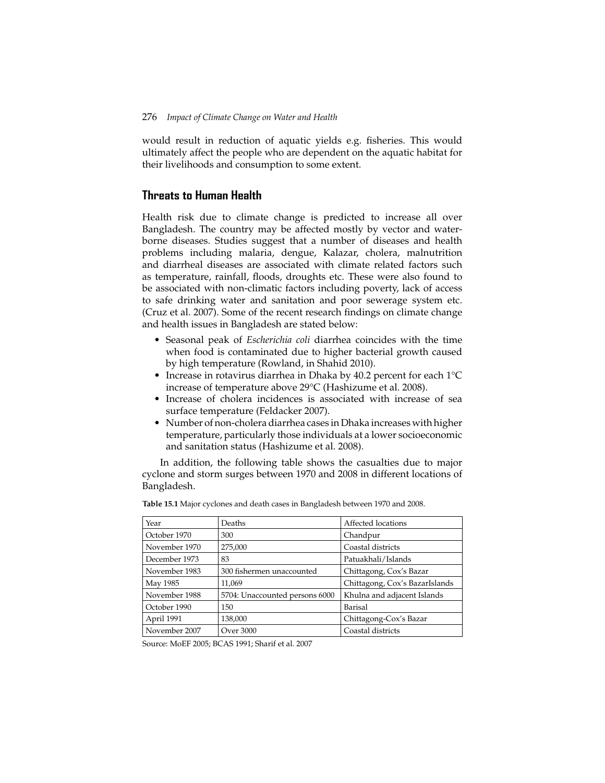would result in reduction of aquatic yields e.g. fisheries. This would ultimately affect the people who are dependent on the aquatic habitat for their livelihoods and consumption to some extent.

# **Threats to Human Health**

Health risk due to climate change is predicted to increase all over Bangladesh. The country may be affected mostly by vector and waterborne diseases. Studies suggest that a number of diseases and health problems including malaria, dengue, Kalazar, cholera, malnutrition and diarrheal diseases are associated with climate related factors such as temperature, rainfall, floods, droughts etc. These were also found to be associated with non-climatic factors including poverty, lack of access to safe drinking water and sanitation and poor sewerage system etc. (Cruz et al. 2007). Some of the recent research findings on climate change and health issues in Bangladesh are stated below:

- Seasonal peak of *Escherichia coli* diarrhea coincides with the time when food is contaminated due to higher bacterial growth caused by high temperature (Rowland, in Shahid 2010).
- Increase in rotavirus diarrhea in Dhaka by 40.2 percent for each 1°C increase of temperature above 29°C (Hashizume et al. 2008).
- Increase of cholera incidences is associated with increase of sea surface temperature (Feldacker 2007).
- Number of non-cholera diarrhea cases in Dhaka increases with higher temperature, particularly those individuals at a lower socioeconomic and sanitation status (Hashizume et al. 2008).

In addition, the following table shows the casualties due to major cyclone and storm surges between 1970 and 2008 in different locations of Bangladesh.

| Year          | Affected locations<br>Deaths   |                                |
|---------------|--------------------------------|--------------------------------|
| October 1970  | 300                            | Chandpur                       |
| November 1970 | 275,000                        | Coastal districts              |
| December 1973 | 83                             | Patuakhali/Islands             |
| November 1983 | 300 fishermen unaccounted      | Chittagong, Cox's Bazar        |
| May 1985      | 11.069                         | Chittagong, Cox's BazarIslands |
| November 1988 | 5704: Unaccounted persons 6000 | Khulna and adjacent Islands    |
| October 1990  | 150                            | Barisal                        |
| April 1991    | 138,000                        | Chittagong-Cox's Bazar         |
| November 2007 | Over 3000                      | Coastal districts              |

**Table 15.1** Major cyclones and death cases in Bangladesh between 1970 and 2008.

Source: MoEF 2005; BCAS 1991; Sharif et al. 2007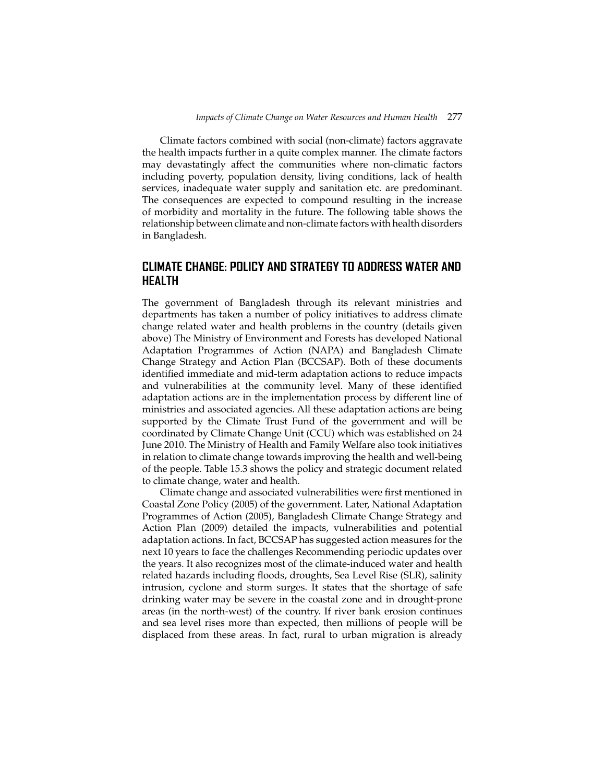Climate factors combined with social (non-climate) factors aggravate the health impacts further in a quite complex manner. The climate factors may devastatingly affect the communities where non-climatic factors including poverty, population density, living conditions, lack of health services, inadequate water supply and sanitation etc. are predominant. The consequences are expected to compound resulting in the increase of morbidity and mortality in the future. The following table shows the relationship between climate and non-climate factors with health disorders in Bangladesh.

# **CLIMATE CHANGE: POLICY AND STRATEGY TO ADDRESS WATER AND HEALTH**

The government of Bangladesh through its relevant ministries and departments has taken a number of policy initiatives to address climate change related water and health problems in the country (details given above) The Ministry of Environment and Forests has developed National Adaptation Programmes of Action (NAPA) and Bangladesh Climate Change Strategy and Action Plan (BCCSAP). Both of these documents identified immediate and mid-term adaptation actions to reduce impacts and vulnerabilities at the community level. Many of these identified adaptation actions are in the implementation process by different line of ministries and associated agencies. All these adaptation actions are being supported by the Climate Trust Fund of the government and will be coordinated by Climate Change Unit (CCU) which was established on 24 June 2010. The Ministry of Health and Family Welfare also took initiatives in relation to climate change towards improving the health and well-being of the people. Table 15.3 shows the policy and strategic document related to climate change, water and health.

Climate change and associated vulnerabilities were first mentioned in Coastal Zone Policy (2005) of the government. Later, National Adaptation Programmes of Action (2005), Bangladesh Climate Change Strategy and Action Plan (2009) detailed the impacts, vulnerabilities and potential adaptation actions. In fact, BCCSAP has suggested action measures for the next 10 years to face the challenges Recommending periodic updates over the years. It also recognizes most of the climate-induced water and health related hazards including floods, droughts, Sea Level Rise (SLR), salinity intrusion, cyclone and storm surges. It states that the shortage of safe drinking water may be severe in the coastal zone and in drought-prone areas (in the north-west) of the country. If river bank erosion continues and sea level rises more than expected, then millions of people will be displaced from these areas. In fact, rural to urban migration is already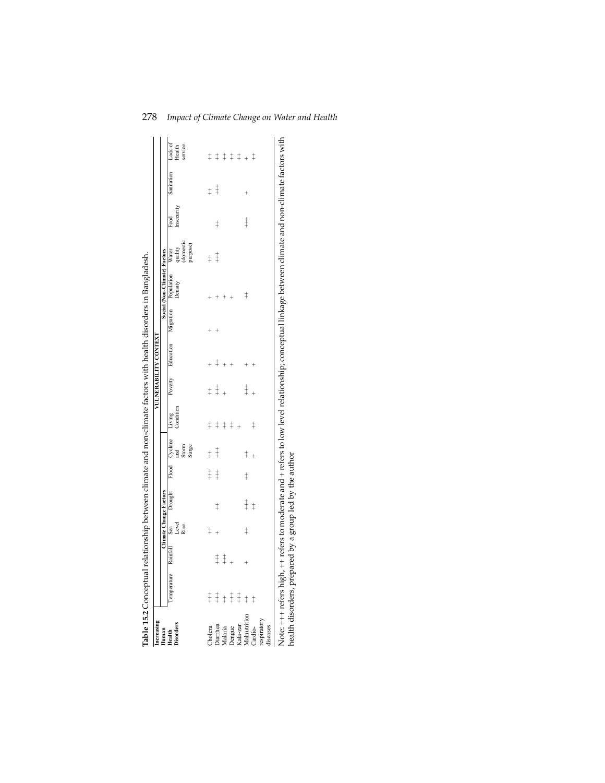| Increasing<br>Human                |                                   |            |            | <b>Climate Change Factors</b> |            |                                                       |            |            | <b>VULNERABILITY CONTEXT</b>           | Social (Non-Climate) Factors |                                           |                    |            |                                    |
|------------------------------------|-----------------------------------|------------|------------|-------------------------------|------------|-------------------------------------------------------|------------|------------|----------------------------------------|------------------------------|-------------------------------------------|--------------------|------------|------------------------------------|
| <b>Disorders</b><br>Health         | Temperature Rainfall Sea<br>Level |            | Rise       | Drought                       |            | Flood Cyclone Living<br>Storm<br>Surge<br>$rac{1}{2}$ | Condition  |            | Poverty Education Migration Population | Density                      | quality<br>(domestic<br>purpose)<br>Water | Insecurity<br>Food | Sanitation | Lack of<br>service<br>Health       |
| Cholera                            |                                   |            | $\ddagger$ |                               | $\ddagger$ | $\ddagger$                                            | $\ddagger$ | $\ddagger$ |                                        |                              | $\ddagger$                                |                    | $\ddagger$ |                                    |
| Diarrhea                           | $\ddagger$ $\ddagger$             | $\ddagger$ | $^{+}$     | $\ddagger$                    | $\ddagger$ | $\ddagger$                                            | $\ddagger$ | $\ddagger$ | $^\ddag$                               |                              | $\ddagger$                                | $\ddagger$         | $\ddagger$ | $\ddagger$ $\ddagger$              |
| Malaria                            | $\pm 1.1$                         | $\ddagger$ |            |                               |            |                                                       | $\ddagger$ |            |                                        |                              |                                           |                    |            | $\ddagger$                         |
| Dengue                             |                                   | $^{+}$     |            |                               |            |                                                       | $\ddagger$ |            |                                        |                              |                                           |                    |            |                                    |
| Kala-zar                           |                                   |            |            |                               |            |                                                       |            |            |                                        |                              |                                           |                    |            |                                    |
| Malnutrition                       | $\ddagger$                        |            | $\ddagger$ | $\ddagger$                    | $\ddagger$ | $\ddagger$                                            |            | $\ddagger$ |                                        | $\ddagger$                   |                                           | $\ddagger$         |            | $\ddagger$ $\ddagger$ + $\ddagger$ |
| respiratory<br>Cardio-<br>diseases | $\ddagger$                        |            |            | $\ddagger$                    |            |                                                       | $\ddagger$ |            |                                        |                              |                                           |                    |            |                                    |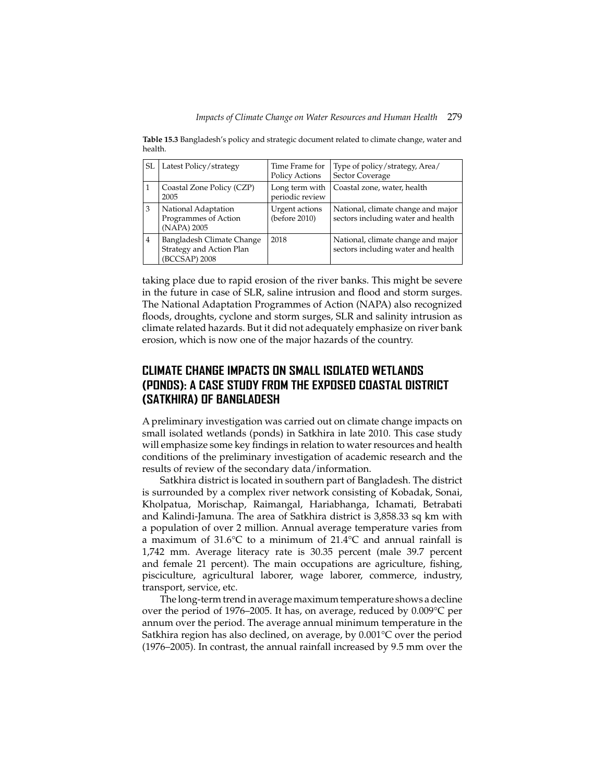**Table 15.3** Bangladesh's policy and strategic document related to climate change, water and health.

| SL             | Latest Policy/strategy                                                 | Time Frame for<br><b>Policy Actions</b> | Type of policy/strategy, Area/<br>Sector Coverage                        |
|----------------|------------------------------------------------------------------------|-----------------------------------------|--------------------------------------------------------------------------|
|                | Coastal Zone Policy (CZP)<br>2005                                      | Long term with<br>periodic review       | Coastal zone, water, health                                              |
| 3              | National Adaptation<br>Programmes of Action<br>(NAPA) 2005             | Urgent actions<br>(before 2010)         | National, climate change and major<br>sectors including water and health |
| $\overline{4}$ | Bangladesh Climate Change<br>Strategy and Action Plan<br>(BCCSAP) 2008 | 2018                                    | National, climate change and major<br>sectors including water and health |

taking place due to rapid erosion of the river banks. This might be severe in the future in case of SLR, saline intrusion and flood and storm surges. The National Adaptation Programmes of Action (NAPA) also recognized floods, droughts, cyclone and storm surges, SLR and salinity intrusion as climate related hazards. But it did not adequately emphasize on river bank erosion, which is now one of the major hazards of the country.

# **CLIMATE CHANGE IMPACTS ON SMALL ISOLATED WETLANDS (PONDS): A CASE STUDY FROM THE EXPOSED COASTAL DISTRICT (SATKHIRA) OF BANGLADESH**

A preliminary investigation was carried out on climate change impacts on small isolated wetlands (ponds) in Satkhira in late 2010. This case study will emphasize some key findings in relation to water resources and health conditions of the preliminary investigation of academic research and the results of review of the secondary data/information.

Satkhira district is located in southern part of Bangladesh. The district is surrounded by a complex river network consisting of Kobadak, Sonai, Kholpatua, Morischap, Raimangal, Hariabhanga, Ichamati, Betrabati and Kalindi-Jamuna. The area of Satkhira district is 3,858.33 sq km with a population of over 2 million. Annual average temperature varies from a maximum of 31.6°C to a minimum of 21.4°C and annual rainfall is 1,742 mm. Average literacy rate is 30.35 percent (male 39.7 percent and female 21 percent). The main occupations are agriculture, fishing, pisciculture, agricultural laborer, wage laborer, commerce, industry, transport, service, etc.

The long-term trend in average maximum temperature shows a decline over the period of 1976–2005. It has, on average, reduced by 0.009°C per annum over the period. The average annual minimum temperature in the Satkhira region has also declined, on average, by 0.001°C over the period (1976–2005). In contrast, the annual rainfall increased by 9.5 mm over the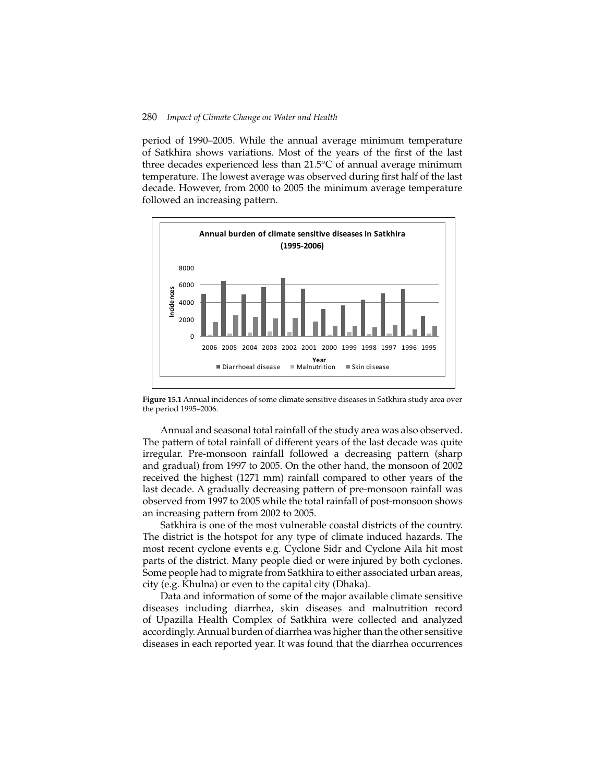period of 1990–2005. While the annual average minimum temperature of Satkhira shows variations. Most of the years of the first of the last three decades experienced less than 21.5°C of annual average minimum temperature. The lowest average was observed during first half of the last decade. However, from 2000 to 2005 the minimum average temperature followed an increasing pattern.



**Figure 15.1** Annual incidences of some climate sensitive diseases in Satkhira study area over the period 1995–2006.

Annual and seasonal total rainfall of the study area was also observed. The pattern of total rainfall of different years of the last decade was quite irregular. Pre-monsoon rainfall followed a decreasing pattern (sharp and gradual) from 1997 to 2005. On the other hand, the monsoon of 2002 received the highest (1271 mm) rainfall compared to other years of the last decade. A gradually decreasing pattern of pre-monsoon rainfall was observed from 1997 to 2005 while the total rainfall of post-monsoon shows an increasing pattern from 2002 to 2005.

Satkhira is one of the most vulnerable coastal districts of the country. The district is the hotspot for any type of climate induced hazards. The most recent cyclone events e.g. Cyclone Sidr and Cyclone Aila hit most parts of the district. Many people died or were injured by both cyclones. Some people had to migrate from Satkhira to either associated urban areas, city (e.g. Khulna) or even to the capital city (Dhaka).

Data and information of some of the major available climate sensitive diseases including diarrhea, skin diseases and malnutrition record of Upazilla Health Complex of Satkhira were collected and analyzed accordingly. Annual burden of diarrhea was higher than the other sensitive diseases in each reported year. It was found that the diarrhea occurrences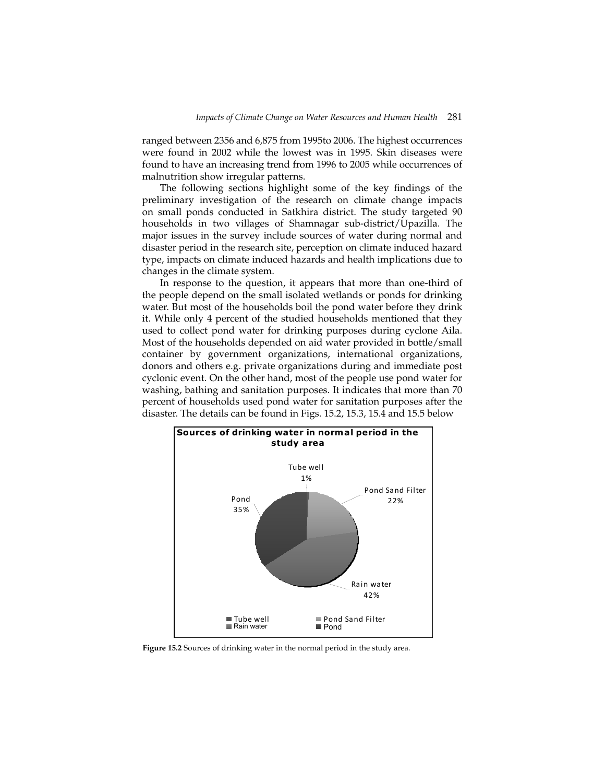ranged between 2356 and 6,875 from 1995to 2006. The highest occurrences were found in 2002 while the lowest was in 1995. Skin diseases were found to have an increasing trend from 1996 to 2005 while occurrences of malnutrition show irregular patterns.

The following sections highlight some of the key findings of the preliminary investigation of the research on climate change impacts on small ponds conducted in Satkhira district. The study targeted 90 households in two villages of Shamnagar sub-district/Upazilla. The major issues in the survey include sources of water during normal and disaster period in the research site, perception on climate induced hazard type, impacts on climate induced hazards and health implications due to changes in the climate system.

In response to the question, it appears that more than one-third of the people depend on the small isolated wetlands or ponds for drinking water. But most of the households boil the pond water before they drink it. While only 4 percent of the studied households mentioned that they used to collect pond water for drinking purposes during cyclone Aila. Most of the households depended on aid water provided in bottle/small container by government organizations, international organizations, donors and others e.g. private organizations during and immediate post cyclonic event. On the other hand, most of the people use pond water for washing, bathing and sanitation purposes. It indicates that more than 70 percent of households used pond water for sanitation purposes after the disaster. The details can be found in Figs. 15.2, 15.3, 15.4 and 15.5 below



**Figure 15.2** Sources of drinking water in the normal period in the study area.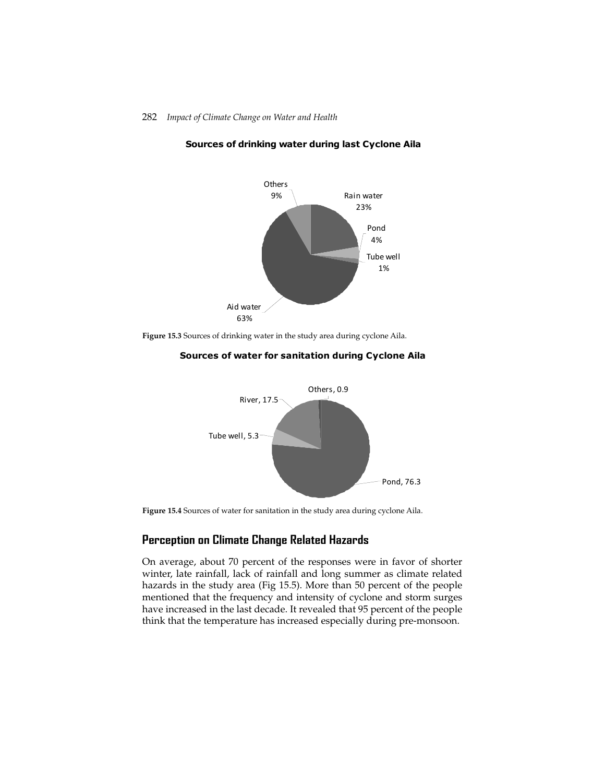

## Sources of drinking water during last Cyclone Aila







**Figure 15.4** Sources of water for sanitation in the study area during cyclone Aila.

# **Perception on Climate Change Related Hazards**

On average, about 70 percent of the responses were in favor of shorter winter, late rainfall, lack of rainfall and long summer as climate related hazards in the study area (Fig 15.5). More than 50 percent of the people mentioned that the frequency and intensity of cyclone and storm surges have increased in the last decade. It revealed that 95 percent of the people think that the temperature has increased especially during pre-monsoon.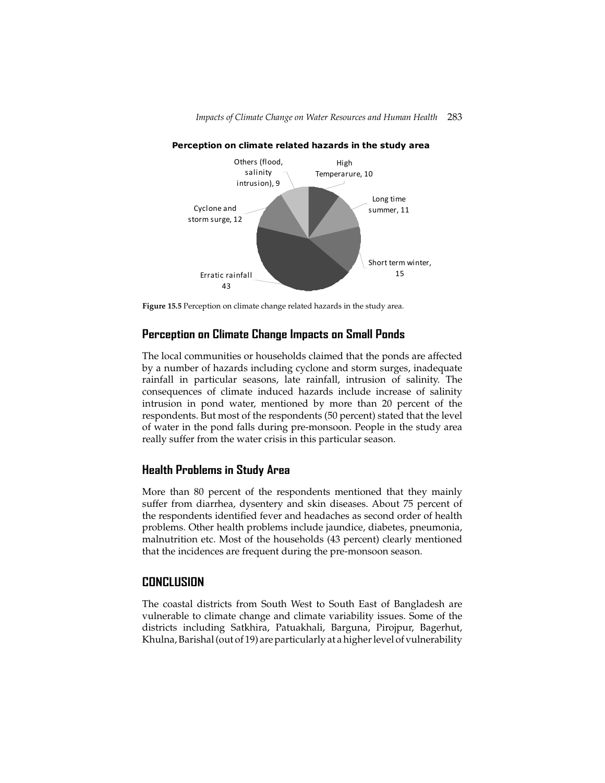*Impacts of Climate Change on Water Resources and Human Health* 283



Perception on climate related hazards in the study area

**Figure 15.5** Perception on climate change related hazards in the study area.

# **Perception on Climate Change Impacts on Small Ponds**

The local communities or households claimed that the ponds are affected by a number of hazards including cyclone and storm surges, inadequate rainfall in particular seasons, late rainfall, intrusion of salinity. The consequences of climate induced hazards include increase of salinity intrusion in pond water, mentioned by more than 20 percent of the respondents. But most of the respondents (50 percent) stated that the level of water in the pond falls during pre-monsoon. People in the study area really suffer from the water crisis in this particular season.

# **Health Problems in Study Area**

More than 80 percent of the respondents mentioned that they mainly suffer from diarrhea, dysentery and skin diseases. About 75 percent of the respondents identified fever and headaches as second order of health problems. Other health problems include jaundice, diabetes, pneumonia, malnutrition etc. Most of the households (43 percent) clearly mentioned that the incidences are frequent during the pre-monsoon season.

# **CONCLUSION**

The coastal districts from South West to South East of Bangladesh are vulnerable to climate change and climate variability issues. Some of the districts including Satkhira, Patuakhali, Barguna, Pirojpur, Bagerhut, Khulna, Barishal (out of 19) are particularly at a higher level of vulnerability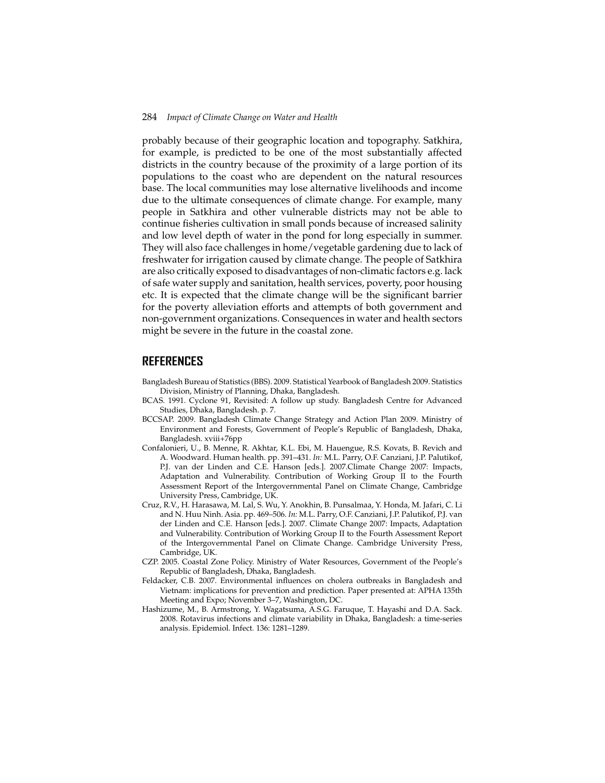probably because of their geographic location and topography. Satkhira, for example, is predicted to be one of the most substantially affected districts in the country because of the proximity of a large portion of its populations to the coast who are dependent on the natural resources base. The local communities may lose alternative livelihoods and income due to the ultimate consequences of climate change. For example, many people in Satkhira and other vulnerable districts may not be able to continue fisheries cultivation in small ponds because of increased salinity and low level depth of water in the pond for long especially in summer. They will also face challenges in home/vegetable gardening due to lack of freshwater for irrigation caused by climate change. The people of Satkhira are also critically exposed to disadvantages of non-climatic factors e.g. lack of safe water supply and sanitation, health services, poverty, poor housing etc. It is expected that the climate change will be the significant barrier for the poverty alleviation efforts and attempts of both government and non-government organizations. Consequences in water and health sectors might be severe in the future in the coastal zone.

### **REFERENCES**

- Bangladesh Bureau of Statistics (BBS). 2009. Statistical Yearbook of Bangladesh 2009. Statistics Division, Ministry of Planning, Dhaka, Bangladesh.
- BCAS. 1991. Cyclone 91, Revisited: A follow up study. Bangladesh Centre for Advanced Studies, Dhaka, Bangladesh. p. 7.
- BCCSAP. 2009. Bangladesh Climate Change Strategy and Action Plan 2009. Ministry of Environment and Forests, Government of People's Republic of Bangladesh, Dhaka, Bangladesh. xviii+76pp
- Confalonieri, U., B. Menne, R. Akhtar, K.L. Ebi, M. Hauengue, R.S. Kovats, B. Revich and A. Woodward. Human health. pp. 391–431. *In:* M.L. Parry, O.F. Canziani, J.P. Palutikof, P.J. van der Linden and C.E. Hanson [eds.]. 2007.Climate Change 2007: Impacts, Adaptation and Vulnerability. Contribution of Working Group II to the Fourth Assessment Report of the Intergovernmental Panel on Climate Change, Cambridge University Press, Cambridge, UK.
- Cruz, R.V., H. Harasawa, M. Lal, S. Wu, Y. Anokhin, B. Punsalmaa, Y. Honda, M. Jafari, C. Li and N. Huu Ninh. Asia. pp. 469–506. *In:* M.L. Parry, O.F. Canziani, J.P. Palutikof, P.J. van der Linden and C.E. Hanson [eds.]. 2007. Climate Change 2007: Impacts, Adaptation and Vulnerability. Contribution of Working Group II to the Fourth Assessment Report of the Intergovernmental Panel on Climate Change. Cambridge University Press, Cambridge, UK.
- CZP. 2005. Coastal Zone Policy. Ministry of Water Resources, Government of the People's Republic of Bangladesh, Dhaka, Bangladesh.
- Feldacker, C.B. 2007. Environmental influences on cholera outbreaks in Bangladesh and Vietnam: implications for prevention and prediction. Paper presented at: APHA 135th Meeting and Expo; November 3–7, Washington, DC.
- Hashizume, M., B. Armstrong, Y. Wagatsuma, A.S.G. Faruque, T. Hayashi and D.A. Sack. 2008. Rotavirus infections and climate variability in Dhaka, Bangladesh: a time-series analysis. Epidemiol. Infect*.* 136: 1281–1289.